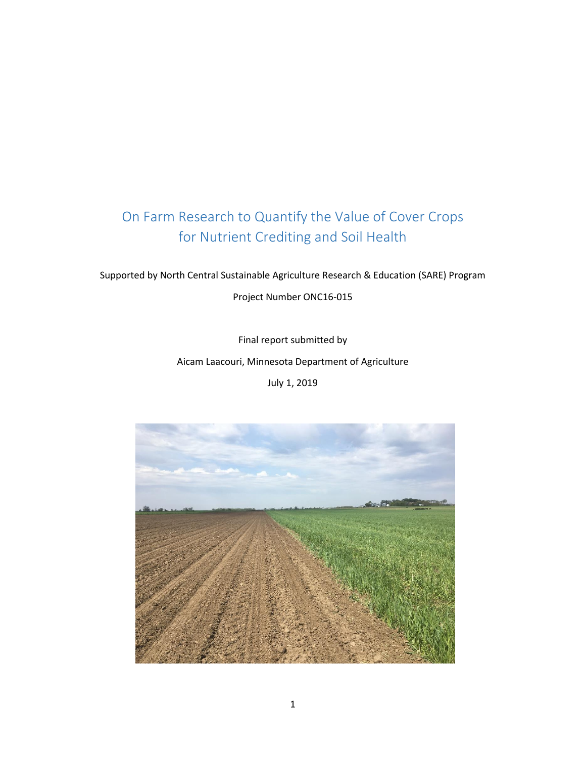# On Farm Research to Quantify the Value of Cover Crops for Nutrient Crediting and Soil Health

Supported by North Central Sustainable Agriculture Research & Education (SARE) Program

Project Number ONC16-015

Final report submitted by

Aicam Laacouri, Minnesota Department of Agriculture

July 1, 2019

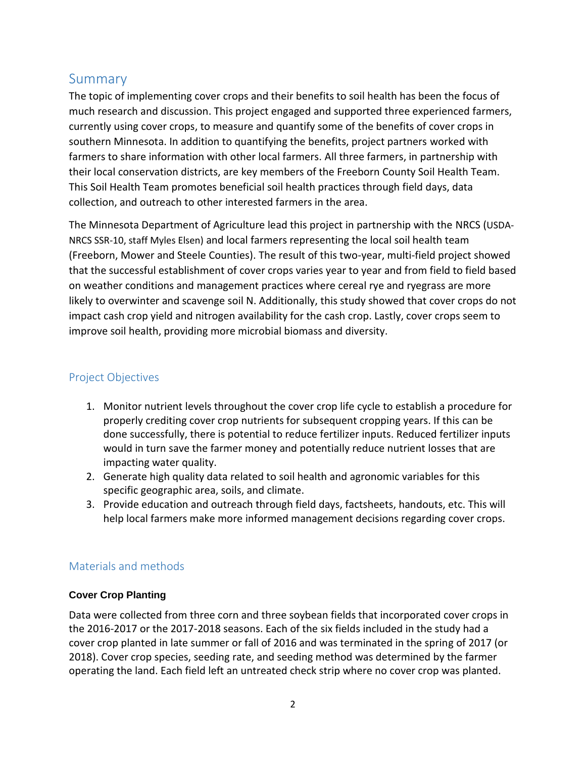## Summary

The topic of implementing cover crops and their benefits to soil health has been the focus of much research and discussion. This project engaged and supported three experienced farmers, currently using cover crops, to measure and quantify some of the benefits of cover crops in southern Minnesota. In addition to quantifying the benefits, project partners worked with farmers to share information with other local farmers. All three farmers, in partnership with their local conservation districts, are key members of the Freeborn County Soil Health Team. This Soil Health Team promotes beneficial soil health practices through field days, data collection, and outreach to other interested farmers in the area.

The Minnesota Department of Agriculture lead this project in partnership with the NRCS (USDA-NRCS SSR-10, staff Myles Elsen) and local farmers representing the local soil health team (Freeborn, Mower and Steele Counties). The result of this two-year, multi-field project showed that the successful establishment of cover crops varies year to year and from field to field based on weather conditions and management practices where cereal rye and ryegrass are more likely to overwinter and scavenge soil N. Additionally, this study showed that cover crops do not impact cash crop yield and nitrogen availability for the cash crop. Lastly, cover crops seem to improve soil health, providing more microbial biomass and diversity.

## Project Objectives

- 1. Monitor nutrient levels throughout the cover crop life cycle to establish a procedure for properly crediting cover crop nutrients for subsequent cropping years. If this can be done successfully, there is potential to reduce fertilizer inputs. Reduced fertilizer inputs would in turn save the farmer money and potentially reduce nutrient losses that are impacting water quality.
- 2. Generate high quality data related to soil health and agronomic variables for this specific geographic area, soils, and climate.
- 3. Provide education and outreach through field days, factsheets, handouts, etc. This will help local farmers make more informed management decisions regarding cover crops.

## Materials and methods

## **Cover Crop Planting**

Data were collected from three corn and three soybean fields that incorporated cover crops in the 2016-2017 or the 2017-2018 seasons. Each of the six fields included in the study had a cover crop planted in late summer or fall of 2016 and was terminated in the spring of 2017 (or 2018). Cover crop species, seeding rate, and seeding method was determined by the farmer operating the land. Each field left an untreated check strip where no cover crop was planted.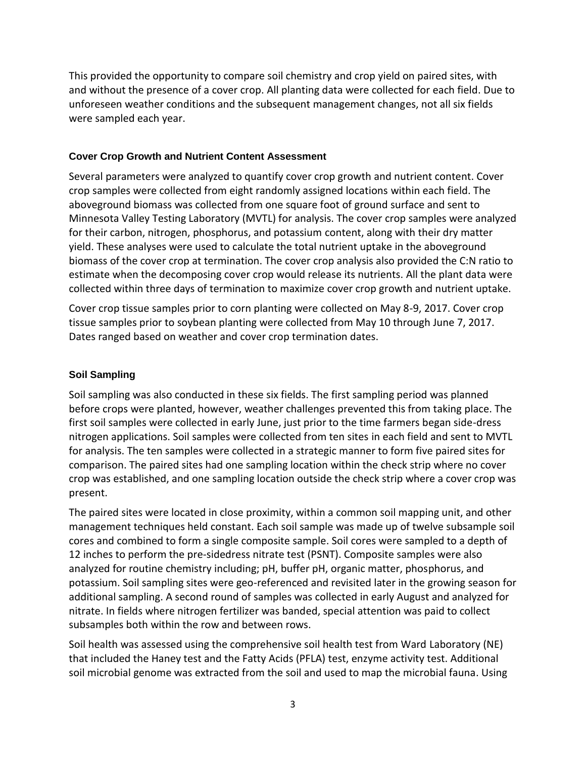This provided the opportunity to compare soil chemistry and crop yield on paired sites, with and without the presence of a cover crop. All planting data were collected for each field. Due to unforeseen weather conditions and the subsequent management changes, not all six fields were sampled each year.

#### **Cover Crop Growth and Nutrient Content Assessment**

Several parameters were analyzed to quantify cover crop growth and nutrient content. Cover crop samples were collected from eight randomly assigned locations within each field. The aboveground biomass was collected from one square foot of ground surface and sent to Minnesota Valley Testing Laboratory (MVTL) for analysis. The cover crop samples were analyzed for their carbon, nitrogen, phosphorus, and potassium content, along with their dry matter yield. These analyses were used to calculate the total nutrient uptake in the aboveground biomass of the cover crop at termination. The cover crop analysis also provided the C:N ratio to estimate when the decomposing cover crop would release its nutrients. All the plant data were collected within three days of termination to maximize cover crop growth and nutrient uptake.

Cover crop tissue samples prior to corn planting were collected on May 8-9, 2017. Cover crop tissue samples prior to soybean planting were collected from May 10 through June 7, 2017. Dates ranged based on weather and cover crop termination dates.

#### **Soil Sampling**

Soil sampling was also conducted in these six fields. The first sampling period was planned before crops were planted, however, weather challenges prevented this from taking place. The first soil samples were collected in early June, just prior to the time farmers began side-dress nitrogen applications. Soil samples were collected from ten sites in each field and sent to MVTL for analysis. The ten samples were collected in a strategic manner to form five paired sites for comparison. The paired sites had one sampling location within the check strip where no cover crop was established, and one sampling location outside the check strip where a cover crop was present.

The paired sites were located in close proximity, within a common soil mapping unit, and other management techniques held constant. Each soil sample was made up of twelve subsample soil cores and combined to form a single composite sample. Soil cores were sampled to a depth of 12 inches to perform the pre-sidedress nitrate test (PSNT). Composite samples were also analyzed for routine chemistry including; pH, buffer pH, organic matter, phosphorus, and potassium. Soil sampling sites were geo-referenced and revisited later in the growing season for additional sampling. A second round of samples was collected in early August and analyzed for nitrate. In fields where nitrogen fertilizer was banded, special attention was paid to collect subsamples both within the row and between rows.

Soil health was assessed using the comprehensive soil health test from Ward Laboratory (NE) that included the Haney test and the Fatty Acids (PFLA) test, enzyme activity test. Additional soil microbial genome was extracted from the soil and used to map the microbial fauna. Using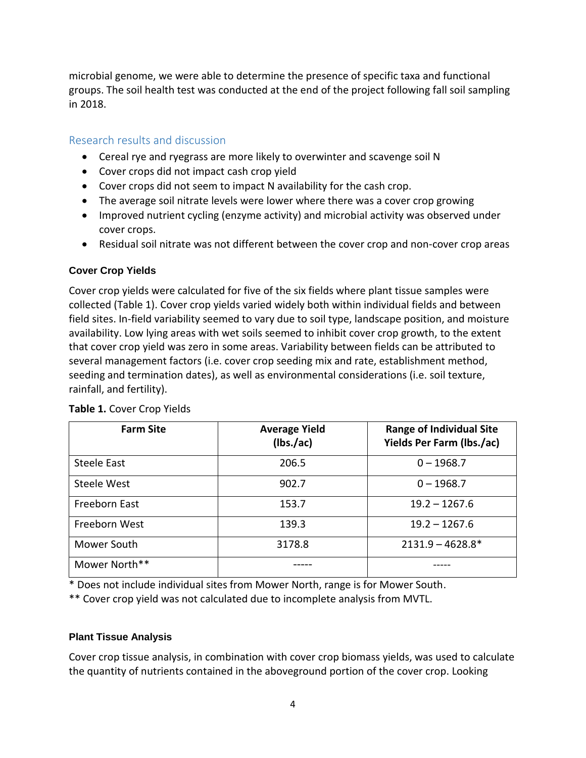microbial genome, we were able to determine the presence of specific taxa and functional groups. The soil health test was conducted at the end of the project following fall soil sampling in 2018.

## Research results and discussion

- Cereal rye and ryegrass are more likely to overwinter and scavenge soil N
- Cover crops did not impact cash crop yield
- Cover crops did not seem to impact N availability for the cash crop.
- The average soil nitrate levels were lower where there was a cover crop growing
- Improved nutrient cycling (enzyme activity) and microbial activity was observed under cover crops.
- Residual soil nitrate was not different between the cover crop and non-cover crop areas

#### **Cover Crop Yields**

Cover crop yields were calculated for five of the six fields where plant tissue samples were collected (Table 1). Cover crop yields varied widely both within individual fields and between field sites. In-field variability seemed to vary due to soil type, landscape position, and moisture availability. Low lying areas with wet soils seemed to inhibit cover crop growth, to the extent that cover crop yield was zero in some areas. Variability between fields can be attributed to several management factors (i.e. cover crop seeding mix and rate, establishment method, seeding and termination dates), as well as environmental considerations (i.e. soil texture, rainfall, and fertility).

| <b>Farm Site</b>   | <b>Average Yield</b><br>(lbs./ac) | <b>Range of Individual Site</b><br><b>Yields Per Farm (lbs./ac)</b> |
|--------------------|-----------------------------------|---------------------------------------------------------------------|
| <b>Steele East</b> | 206.5                             | $0 - 1968.7$                                                        |
| Steele West        | 902.7                             | $0 - 1968.7$                                                        |
| Freeborn East      | 153.7                             | $19.2 - 1267.6$                                                     |
| Freeborn West      | 139.3                             | $19.2 - 1267.6$                                                     |
| Mower South        | 3178.8                            | $2131.9 - 4628.8*$                                                  |
| Mower North**      |                                   |                                                                     |

#### **Table 1.** Cover Crop Yields

\* Does not include individual sites from Mower North, range is for Mower South.

\*\* Cover crop yield was not calculated due to incomplete analysis from MVTL.

#### **Plant Tissue Analysis**

Cover crop tissue analysis, in combination with cover crop biomass yields, was used to calculate the quantity of nutrients contained in the aboveground portion of the cover crop. Looking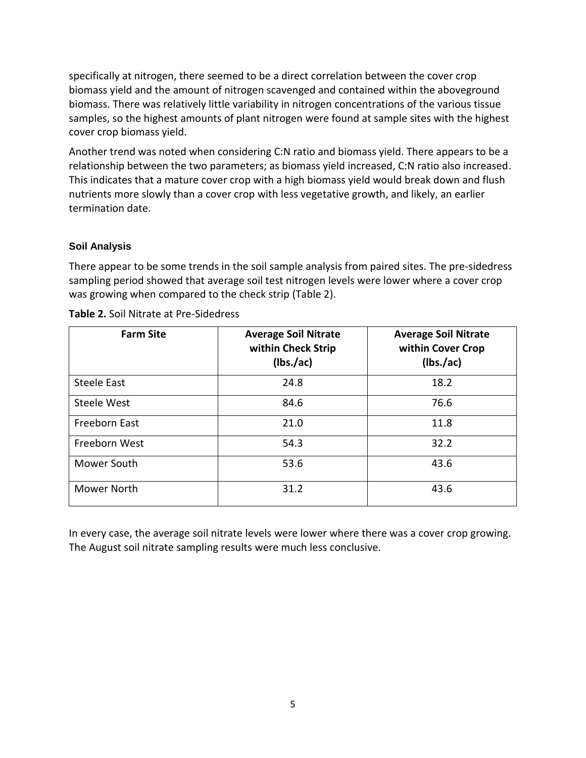specifically at nitrogen, there seemed to be a direct correlation between the cover crop biomass yield and the amount of nitrogen scavenged and contained within the aboveground biomass. There was relatively little variability in nitrogen concentrations of the various tissue samples, so the highest amounts of plant nitrogen were found at sample sites with the highest cover crop biomass yield.

Another trend was noted when considering C:N ratio and biomass yield. There appears to be a relationship between the two parameters; as biomass yield increased, C:N ratio also increased. This indicates that a mature cover crop with a high biomass yield would break down and flush nutrients more slowly than a cover crop with less vegetative growth, and likely, an earlier termination date.

#### **Soil Analysis**

There appear to be some trends in the soil sample analysis from paired sites. The pre-sidedress sampling period showed that average soil test nitrogen levels were lower where a cover crop was growing when compared to the check strip (Table 2).

| <b>Farm Site</b> | <b>Average Soil Nitrate</b><br>within Check Strip<br>(lbs./ac) | <b>Average Soil Nitrate</b><br>within Cover Crop<br>(lbs./ac) |
|------------------|----------------------------------------------------------------|---------------------------------------------------------------|
| Steele East      | 24.8                                                           | 18.2                                                          |
| Steele West      | 84.6                                                           | 76.6                                                          |
| Freeborn East    | 21.0                                                           | 11.8                                                          |
| Freeborn West    | 54.3                                                           | 32.2                                                          |
| Mower South      | 53.6                                                           | 43.6                                                          |
| Mower North      | 31.2                                                           | 43.6                                                          |

**Table 2.** Soil Nitrate at Pre-Sidedress

In every case, the average soil nitrate levels were lower where there was a cover crop growing. The August soil nitrate sampling results were much less conclusive.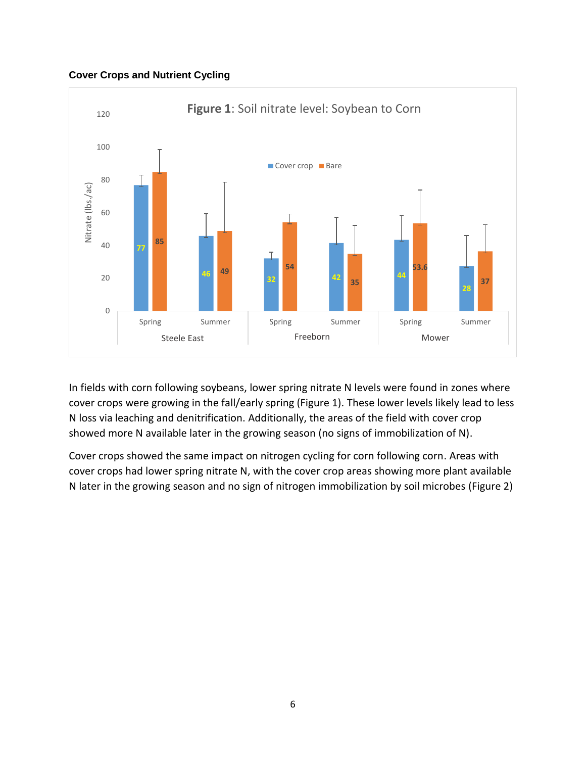#### **Cover Crops and Nutrient Cycling**



In fields with corn following soybeans, lower spring nitrate N levels were found in zones where cover crops were growing in the fall/early spring (Figure 1). These lower levels likely lead to less N loss via leaching and denitrification. Additionally, the areas of the field with cover crop showed more N available later in the growing season (no signs of immobilization of N).

Cover crops showed the same impact on nitrogen cycling for corn following corn. Areas with cover crops had lower spring nitrate N, with the cover crop areas showing more plant available N later in the growing season and no sign of nitrogen immobilization by soil microbes (Figure 2)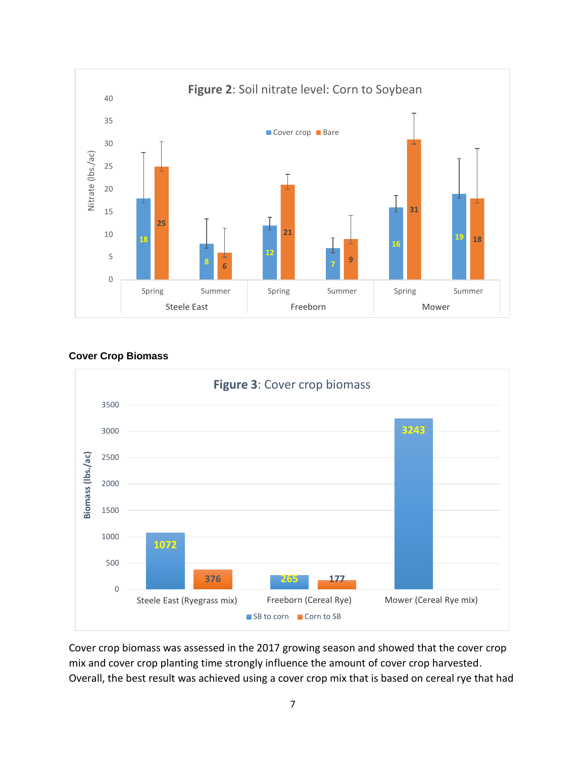

**Cover Crop Biomass**



Cover crop biomass was assessed in the 2017 growing season and showed that the cover crop mix and cover crop planting time strongly influence the amount of cover crop harvested. Overall, the best result was achieved using a cover crop mix that is based on cereal rye that had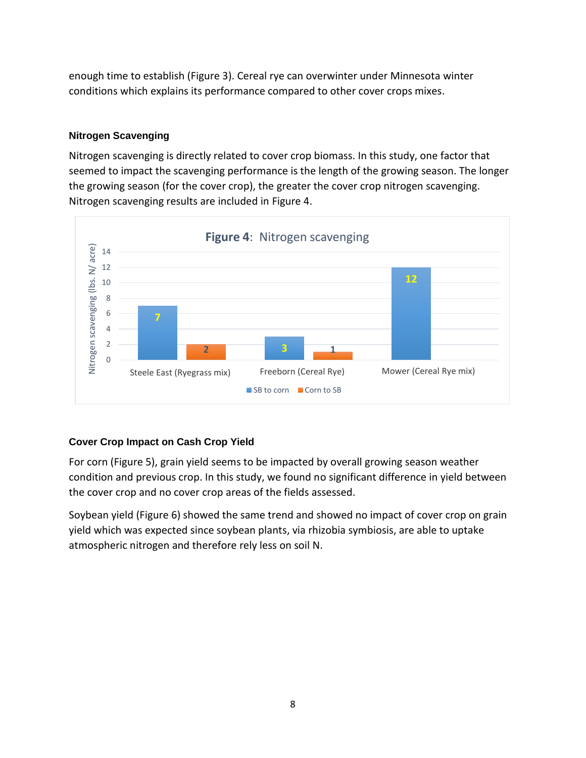enough time to establish (Figure 3). Cereal rye can overwinter under Minnesota winter conditions which explains its performance compared to other cover crops mixes.

## **Nitrogen Scavenging**

Nitrogen scavenging is directly related to cover crop biomass. In this study, one factor that seemed to impact the scavenging performance is the length of the growing season. The longer the growing season (for the cover crop), the greater the cover crop nitrogen scavenging. Nitrogen scavenging results are included in Figure 4.



## **Cover Crop Impact on Cash Crop Yield**

For corn (Figure 5), grain yield seems to be impacted by overall growing season weather condition and previous crop. In this study, we found no significant difference in yield between the cover crop and no cover crop areas of the fields assessed.

Soybean yield (Figure 6) showed the same trend and showed no impact of cover crop on grain yield which was expected since soybean plants, via rhizobia symbiosis, are able to uptake atmospheric nitrogen and therefore rely less on soil N.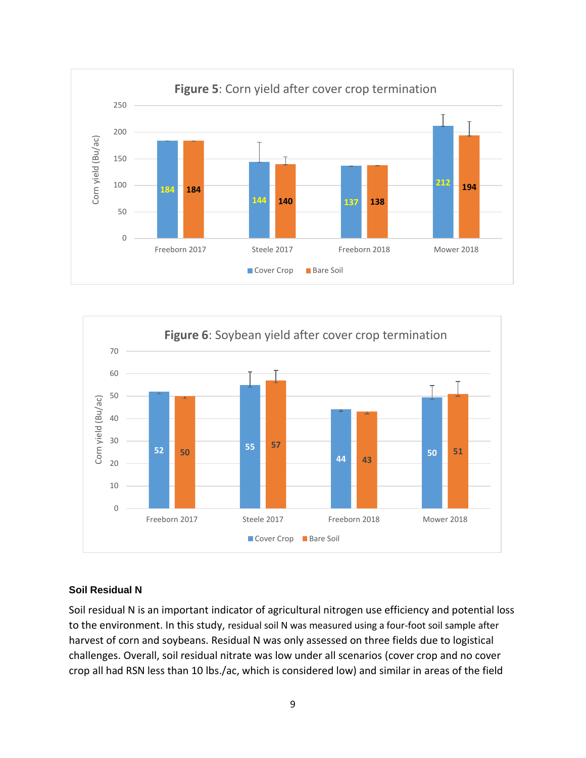



#### **Soil Residual N**

Soil residual N is an important indicator of agricultural nitrogen use efficiency and potential loss to the environment. In this study, residual soil N was measured using a four-foot soil sample after harvest of corn and soybeans. Residual N was only assessed on three fields due to logistical challenges. Overall, soil residual nitrate was low under all scenarios (cover crop and no cover crop all had RSN less than 10 lbs./ac, which is considered low) and similar in areas of the field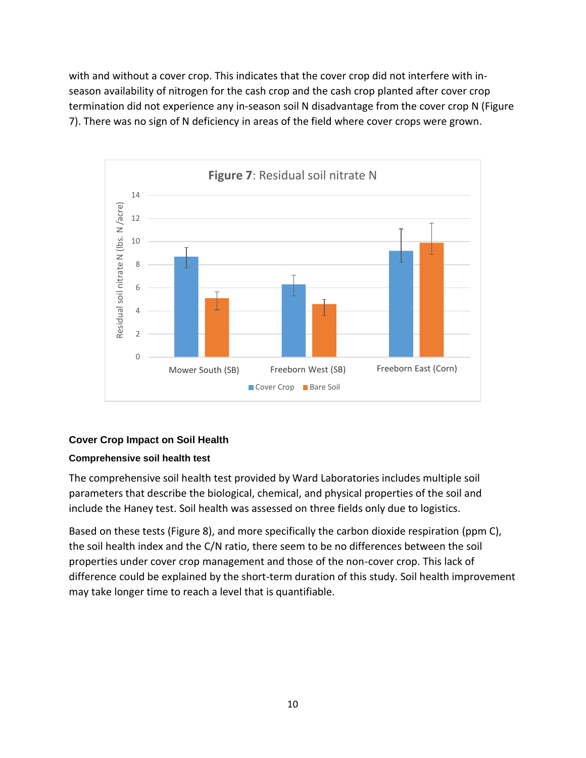with and without a cover crop. This indicates that the cover crop did not interfere with inseason availability of nitrogen for the cash crop and the cash crop planted after cover crop termination did not experience any in-season soil N disadvantage from the cover crop N (Figure 7). There was no sign of N deficiency in areas of the field where cover crops were grown.



## **Cover Crop Impact on Soil Health**

#### **Comprehensive soil health test**

The comprehensive soil health test provided by Ward Laboratories includes multiple soil parameters that describe the biological, chemical, and physical properties of the soil and include the Haney test. Soil health was assessed on three fields only due to logistics.

Based on these tests (Figure 8), and more specifically the carbon dioxide respiration (ppm C), the soil health index and the C/N ratio, there seem to be no differences between the soil properties under cover crop management and those of the non-cover crop. This lack of difference could be explained by the short-term duration of this study. Soil health improvement may take longer time to reach a level that is quantifiable.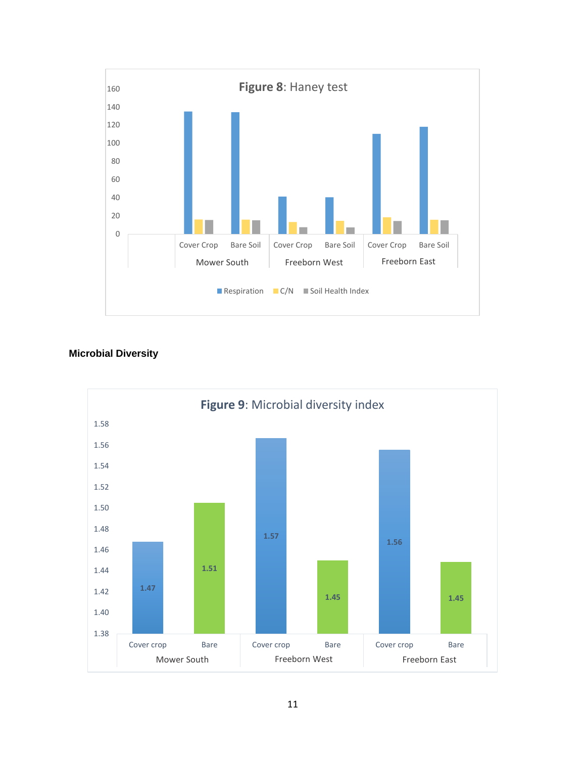

## **Microbial Diversity**

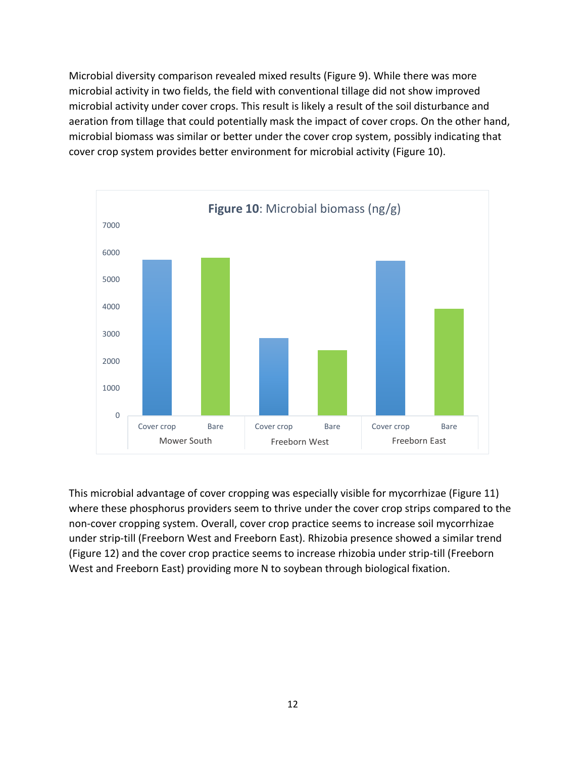Microbial diversity comparison revealed mixed results (Figure 9). While there was more microbial activity in two fields, the field with conventional tillage did not show improved microbial activity under cover crops. This result is likely a result of the soil disturbance and aeration from tillage that could potentially mask the impact of cover crops. On the other hand, microbial biomass was similar or better under the cover crop system, possibly indicating that cover crop system provides better environment for microbial activity (Figure 10).



This microbial advantage of cover cropping was especially visible for mycorrhizae (Figure 11) where these phosphorus providers seem to thrive under the cover crop strips compared to the non-cover cropping system. Overall, cover crop practice seems to increase soil mycorrhizae under strip-till (Freeborn West and Freeborn East). Rhizobia presence showed a similar trend (Figure 12) and the cover crop practice seems to increase rhizobia under strip-till (Freeborn West and Freeborn East) providing more N to soybean through biological fixation.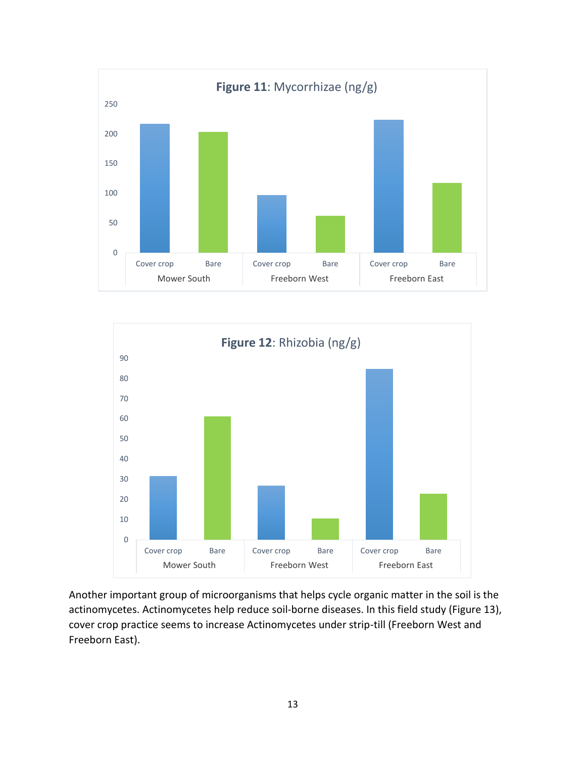



Another important group of microorganisms that helps cycle organic matter in the soil is the actinomycetes. Actinomycetes help reduce soil-borne diseases. In this field study (Figure 13), cover crop practice seems to increase Actinomycetes under strip-till (Freeborn West and Freeborn East).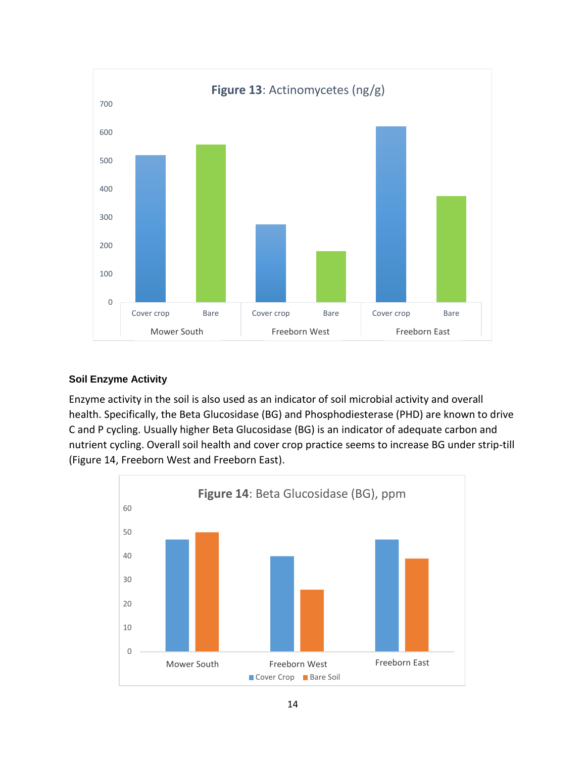

#### **Soil Enzyme Activity**

Enzyme activity in the soil is also used as an indicator of soil microbial activity and overall health. Specifically, the Beta Glucosidase (BG) and Phosphodiesterase (PHD) are known to drive C and P cycling. Usually higher Beta Glucosidase (BG) is an indicator of adequate carbon and nutrient cycling. Overall soil health and cover crop practice seems to increase BG under strip-till (Figure 14, Freeborn West and Freeborn East).

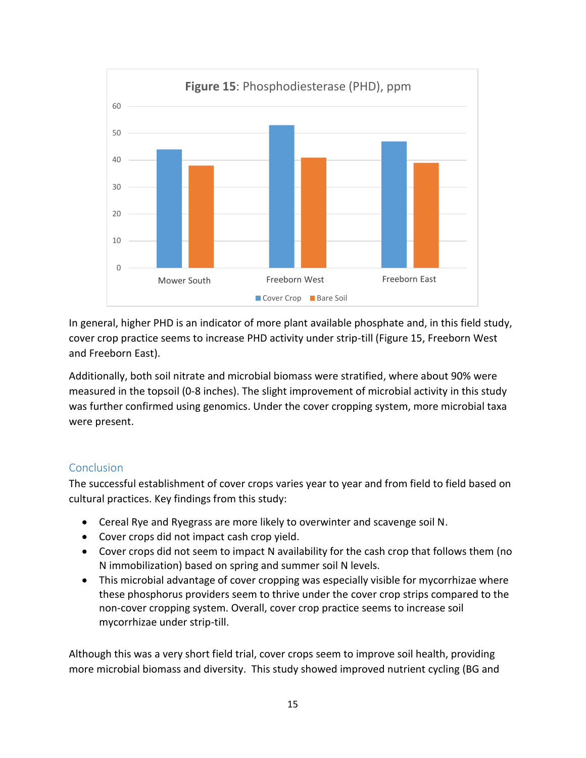

In general, higher PHD is an indicator of more plant available phosphate and, in this field study, cover crop practice seems to increase PHD activity under strip-till (Figure 15, Freeborn West and Freeborn East).

Additionally, both soil nitrate and microbial biomass were stratified, where about 90% were measured in the topsoil (0-8 inches). The slight improvement of microbial activity in this study was further confirmed using genomics. Under the cover cropping system, more microbial taxa were present.

## Conclusion

The successful establishment of cover crops varies year to year and from field to field based on cultural practices. Key findings from this study:

- Cereal Rye and Ryegrass are more likely to overwinter and scavenge soil N.
- Cover crops did not impact cash crop yield.
- Cover crops did not seem to impact N availability for the cash crop that follows them (no N immobilization) based on spring and summer soil N levels.
- This microbial advantage of cover cropping was especially visible for mycorrhizae where these phosphorus providers seem to thrive under the cover crop strips compared to the non-cover cropping system. Overall, cover crop practice seems to increase soil mycorrhizae under strip-till.

Although this was a very short field trial, cover crops seem to improve soil health, providing more microbial biomass and diversity. This study showed improved nutrient cycling (BG and